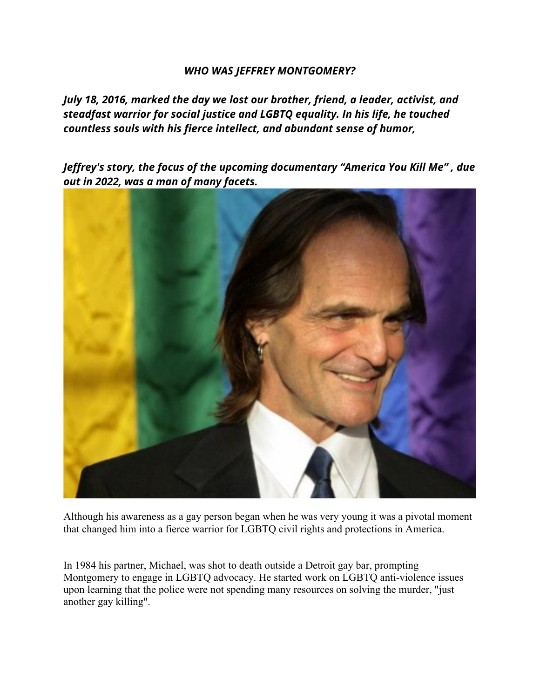## *WHO WAS JEFFREY MONTGOMERY?*

*July 18, 2016, marked the day we lost our brother, friend, a leader, activist, and steadfast warrior for social justice and LGBTQ equality. In his life, he touched countless souls with his fierce intellect, and abundant sense of humor,* 

*Jeffrey's story, the focus of the upcoming documentary "America You Kill Me" , due out in 2022, was a man of many facets.* 



Although his awareness as a gay person began when he was very young it was a pivotal moment that changed him into a fierce warrior for LGBTQ civil rights and protections in America.

In 1984 his partner, Michael, was shot to death outside a Detroit gay bar, prompting Montgomery to engage in LGBTQ advocacy. He started work on LGBTQ anti-violence issues upon learning that the police were not spending many resources on solving the murder, "just another gay killing".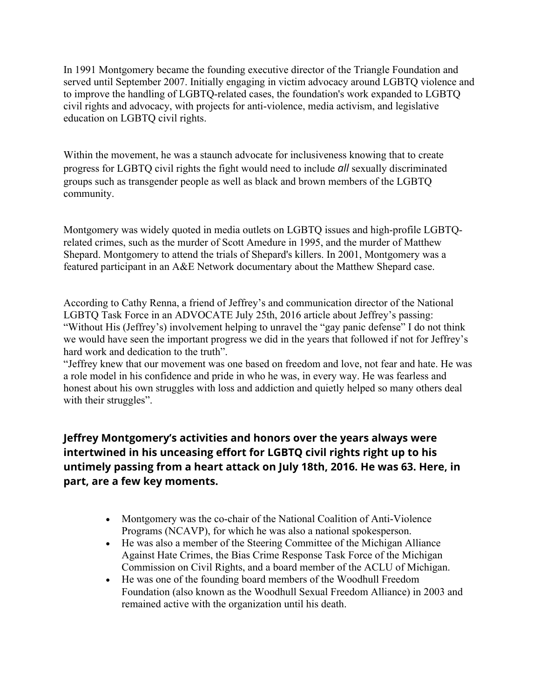In 1991 Montgomery became the founding executive director of the Triangle Foundation and served until September 2007. Initially engaging in victim advocacy around LGBTQ violence and to improve the handling of LGBTQ-related cases, the foundation's work expanded to LGBTQ civil rights and advocacy, with projects for anti-violence, media activism, and legislative education on LGBTQ civil rights.

Within the movement, he was a staunch advocate for inclusiveness knowing that to create progress for LGBTQ civil rights the fight would need to include *all* sexually discriminated groups such as transgender people as well as black and brown members of the LGBTQ community.

Montgomery was widely quoted in media outlets on LGBTQ issues and high-profile LGBTQrelated crimes, such as the murder of Scott Amedure in 1995, and the murder of Matthew Shepard. Montgomery to attend the trials of Shepard's killers. In 2001, Montgomery was a featured participant in an A&E Network documentary about the Matthew Shepard case.

According to Cathy Renna, a friend of Jeffrey's and communication director of the National LGBTQ Task Force in an ADVOCATE July 25th, 2016 article about Jeffrey's passing: "Without His (Jeffrey's) involvement helping to unravel the "gay panic defense" I do not think we would have seen the important progress we did in the years that followed if not for Jeffrey's hard work and dedication to the truth".

"Jeffrey knew that our movement was one based on freedom and love, not fear and hate. He was a role model in his confidence and pride in who he was, in every way. He was fearless and honest about his own struggles with loss and addiction and quietly helped so many others deal with their struggles".

## **Jeffrey Montgomery's activities and honors over the years always were intertwined in his unceasing effort for LGBTQ civil rights right up to his untimely passing from a heart attack on July 18th, 2016. He was 63. Here, in part, are a few key moments.**

- Montgomery was the co-chair of the National Coalition of Anti-Violence Programs (NCAVP), for which he was also a national spokesperson.
- He was also a member of the Steering Committee of the Michigan Alliance Against Hate Crimes, the Bias Crime Response Task Force of the Michigan Commission on Civil Rights, and a board member of the ACLU of Michigan.
- He was one of the founding board members of the Woodhull Freedom Foundation (also known as the Woodhull Sexual Freedom Alliance) in 2003 and remained active with the organization until his death.